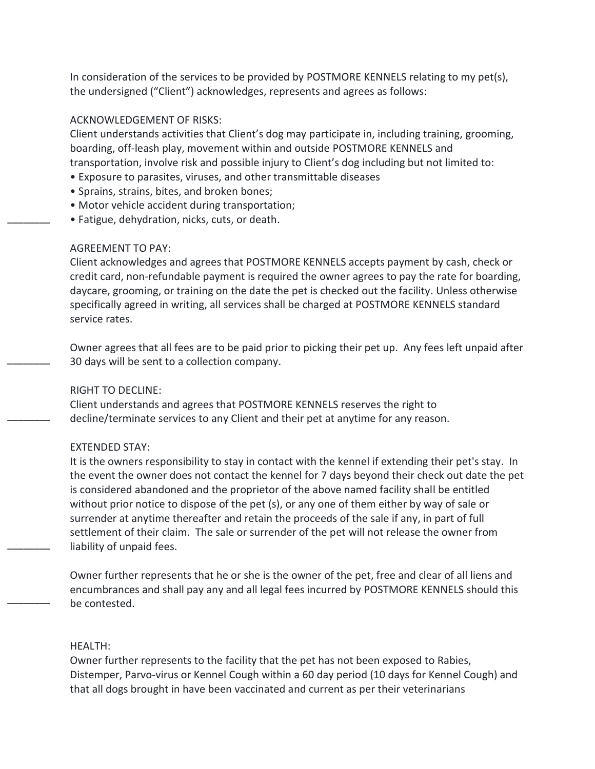In consideration of the services to be provided by POSTMORE KENNELS relating to my pet(s), the undersigned ("Client") acknowledges, represents and agrees as follows:

# ACKNOWLEDGEMENT OF RISKS:

Client understands activities that Client's dog may participate in, including training, grooming, boarding, off-leash play, movement within and outside POSTMORE KENNELS and transportation, involve risk and possible injury to Client's dog including but not limited to:

- Exposure to parasites, viruses, and other transmittable diseases
- Sprains, strains, bites, and broken bones;
- Motor vehicle accident during transportation;
- Fatigue, dehydration, nicks, cuts, or death.

## AGREEMENT TO PAY:

\_\_\_\_\_\_\_\_

 $\overline{\phantom{a}}$   $\overline{\phantom{a}}$ 

 $\overline{\phantom{a}}$ 

\_\_\_\_\_\_\_\_

\_\_\_\_\_\_\_\_

Client acknowledges and agrees that POSTMORE KENNELS accepts payment by cash, check or credit card, non-refundable payment is required the owner agrees to pay the rate for boarding, daycare, grooming, or training on the date the pet is checked out the facility. Unless otherwise specifically agreed in writing, all services shall be charged at POSTMORE KENNELS standard service rates.

Owner agrees that all fees are to be paid prior to picking their pet up. Any fees left unpaid after 30 days will be sent to a collection company.

## RIGHT TO DECLINE:

Client understands and agrees that POSTMORE KENNELS reserves the right to decline/terminate services to any Client and their pet at anytime for any reason.

#### EXTENDED STAY:

It is the owners responsibility to stay in contact with the kennel if extending their pet's stay. In the event the owner does not contact the kennel for 7 days beyond their check out date the pet is considered abandoned and the proprietor of the above named facility shall be entitled without prior notice to dispose of the pet (s), or any one of them either by way of sale or surrender at anytime thereafter and retain the proceeds of the sale if any, in part of full settlement of their claim. The sale or surrender of the pet will not release the owner from liability of unpaid fees.

Owner further represents that he or she is the owner of the pet, free and clear of all liens and encumbrances and shall pay any and all legal fees incurred by POSTMORE KENNELS should this be contested.

# HEALTH:

Owner further represents to the facility that the pet has not been exposed to Rabies, Distemper, Parvo-virus or Kennel Cough within a 60 day period (10 days for Kennel Cough) and that all dogs brought in have been vaccinated and current as per their veterinarians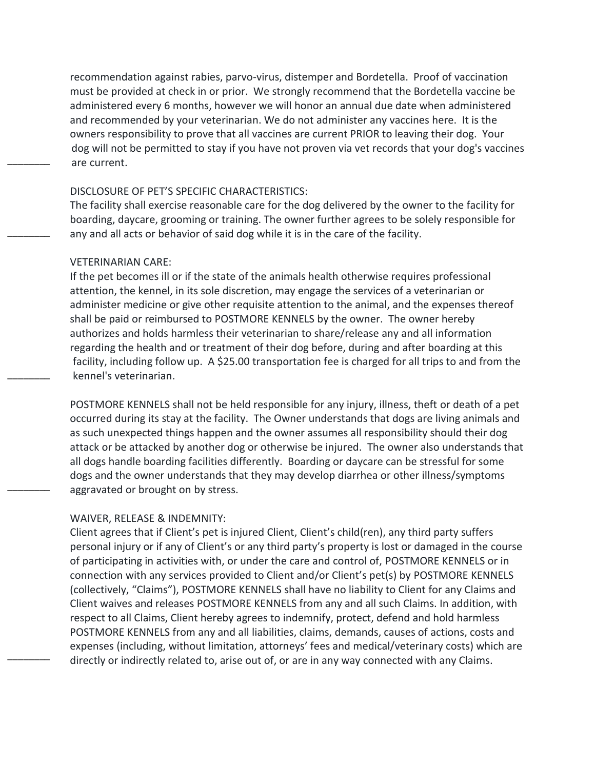recommendation against rabies, parvo-virus, distemper and Bordetella. Proof of vaccination must be provided at check in or prior. We strongly recommend that the Bordetella vaccine be administered every 6 months, however we will honor an annual due date when administered and recommended by your veterinarian. We do not administer any vaccines here. It is the owners responsibility to prove that all vaccines are current PRIOR to leaving their dog. Your dog will not be permitted to stay if you have not proven via vet records that your dog's vaccines are current.

#### DISCLOSURE OF PET'S SPECIFIC CHARACTERISTICS:

The facility shall exercise reasonable care for the dog delivered by the owner to the facility for boarding, daycare, grooming or training. The owner further agrees to be solely responsible for any and all acts or behavior of said dog while it is in the care of the facility.

# VETERINARIAN CARE:

\_\_\_\_\_\_\_\_

\_\_\_\_\_\_\_\_

\_\_\_\_\_\_\_\_

 $\overline{\phantom{a}}$ 

\_\_\_\_\_\_\_\_

If the pet becomes ill or if the state of the animals health otherwise requires professional attention, the kennel, in its sole discretion, may engage the services of a veterinarian or administer medicine or give other requisite attention to the animal, and the expenses thereof shall be paid or reimbursed to POSTMORE KENNELS by the owner. The owner hereby authorizes and holds harmless their veterinarian to share/release any and all information regarding the health and or treatment of their dog before, during and after boarding at this facility, including follow up. A \$25.00 transportation fee is charged for all trips to and from the kennel's veterinarian.

POSTMORE KENNELS shall not be held responsible for any injury, illness, theft or death of a pet occurred during its stay at the facility. The Owner understands that dogs are living animals and as such unexpected things happen and the owner assumes all responsibility should their dog attack or be attacked by another dog or otherwise be injured. The owner also understands that all dogs handle boarding facilities differently. Boarding or daycare can be stressful for some dogs and the owner understands that they may develop diarrhea or other illness/symptoms aggravated or brought on by stress.

# WAIVER, RELEASE & INDEMNITY:

Client agrees that if Client's pet is injured Client, Client's child(ren), any third party suffers personal injury or if any of Client's or any third party's property is lost or damaged in the course of participating in activities with, or under the care and control of, POSTMORE KENNELS or in connection with any services provided to Client and/or Client's pet(s) by POSTMORE KENNELS (collectively, "Claims"), POSTMORE KENNELS shall have no liability to Client for any Claims and Client waives and releases POSTMORE KENNELS from any and all such Claims. In addition, with respect to all Claims, Client hereby agrees to indemnify, protect, defend and hold harmless POSTMORE KENNELS from any and all liabilities, claims, demands, causes of actions, costs and expenses (including, without limitation, attorneys' fees and medical/veterinary costs) which are directly or indirectly related to, arise out of, or are in any way connected with any Claims.